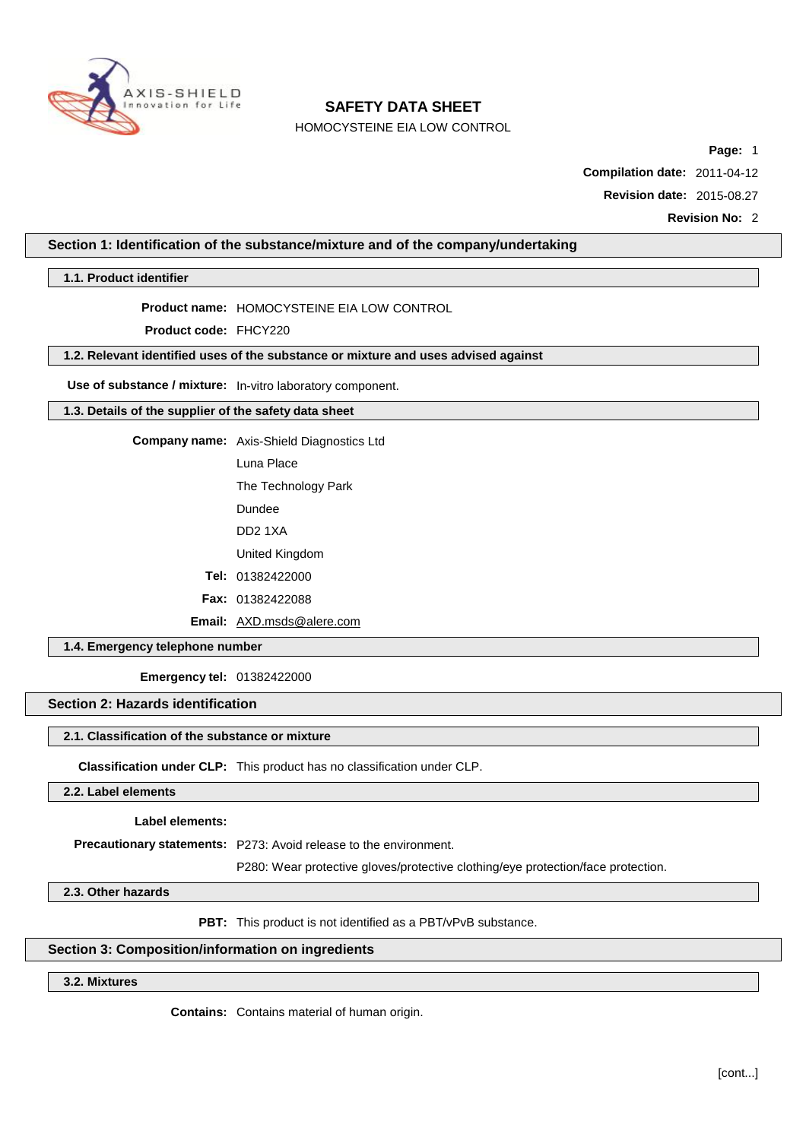

HOMOCYSTEINE EIA LOW CONTROL

**Page:** 1

**Compilation date:** 2011-04-12

**Revision date:** 2015-08.27

**Revision No:** 2

# **Section 1: Identification of the substance/mixture and of the company/undertaking**

**1.1. Product identifier**

### **Product name:** HOMOCYSTEINE EIA LOW CONTROL

**Product code:** FHCY220

# **1.2. Relevant identified uses of the substance or mixture and uses advised against**

**Use of substance / mixture:** In-vitro laboratory component.

## **1.3. Details of the supplier of the safety data sheet**

**Company name:** Axis-Shield Diagnostics Ltd

Luna Place

The Technology Park

Dundee

DD2 1XA

United Kingdom

**Tel:** 01382422000

**Fax:** 01382422088

**Email:** [AXD.msds@alere.com](mailto:AXD.msds@alere.com)

**1.4. Emergency telephone number**

**Emergency tel:** 01382422000

# **Section 2: Hazards identification**

## **2.1. Classification of the substance or mixture**

**Classification under CLP:** This product has no classification under CLP.

**2.2. Label elements**

**Label elements:**

**Precautionary statements:** P273: Avoid release to the environment.

P280: Wear protective gloves/protective clothing/eye protection/face protection.

**2.3. Other hazards**

**PBT:** This product is not identified as a PBT/vPvB substance.

# **Section 3: Composition/information on ingredients**

# **3.2. Mixtures**

**Contains:** Contains material of human origin.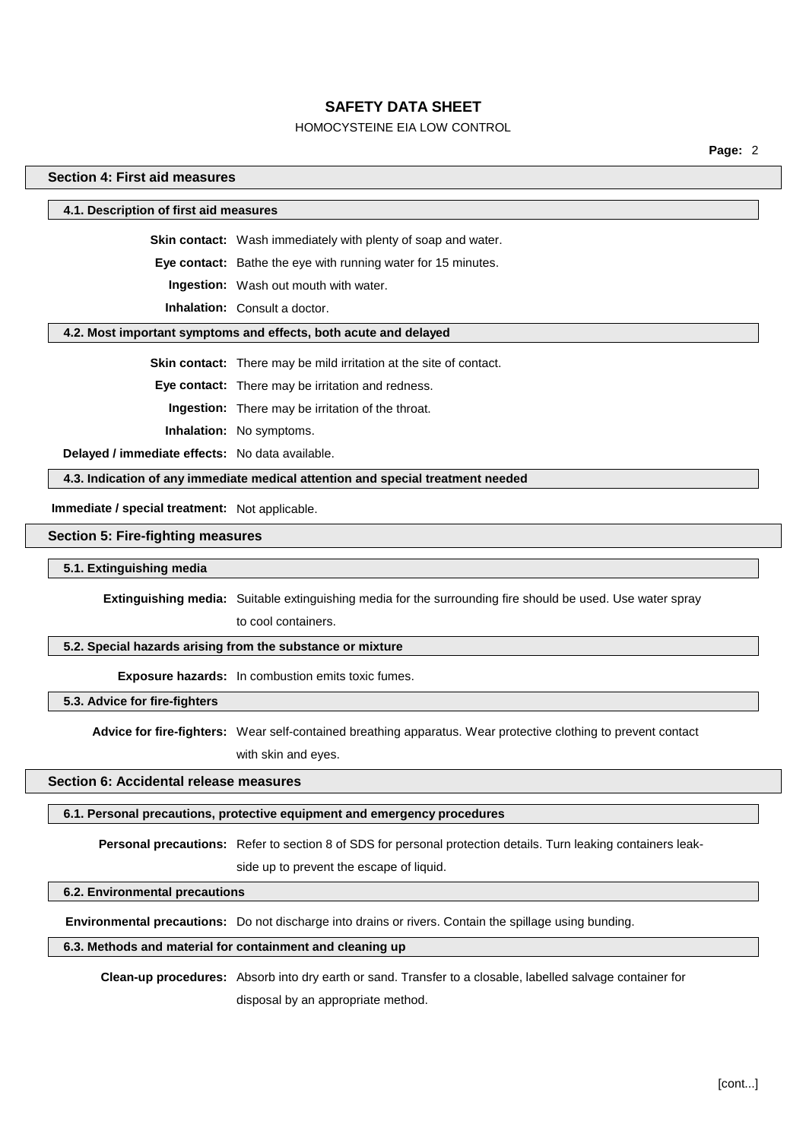# HOMOCYSTEINE EIA LOW CONTROL

**Page:** 2

## **Section 4: First aid measures**

#### **4.1. Description of first aid measures**

**Skin contact:** Wash immediately with plenty of soap and water.

**Eye contact:** Bathe the eye with running water for 15 minutes.

**Ingestion:** Wash out mouth with water.

**Inhalation:** Consult a doctor.

#### **4.2. Most important symptoms and effects, both acute and delayed**

**Skin contact:** There may be mild irritation at the site of contact.

**Eye contact:** There may be irritation and redness.

**Ingestion:** There may be irritation of the throat.

**Inhalation:** No symptoms.

**Delayed / immediate effects:** No data available.

**4.3. Indication of any immediate medical attention and special treatment needed**

**Immediate / special treatment:** Not applicable.

#### **Section 5: Fire-fighting measures**

#### **5.1. Extinguishing media**

**Extinguishing media:** Suitable extinguishing media for the surrounding fire should be used. Use water spray

to cool containers.

# **5.2. Special hazards arising from the substance or mixture**

**Exposure hazards:** In combustion emits toxic fumes.

**5.3. Advice for fire-fighters**

**Advice for fire-fighters:** Wear self-contained breathing apparatus. Wear protective clothing to prevent contact with skin and eyes.

# **Section 6: Accidental release measures**

#### **6.1. Personal precautions, protective equipment and emergency procedures**

**Personal precautions:** Refer to section 8 of SDS for personal protection details. Turn leaking containers leak-

side up to prevent the escape of liquid.

#### **6.2. Environmental precautions**

**Environmental precautions:** Do not discharge into drains or rivers. Contain the spillage using bunding.

### **6.3. Methods and material for containment and cleaning up**

**Clean-up procedures:** Absorb into dry earth or sand. Transfer to a closable, labelled salvage container for disposal by an appropriate method.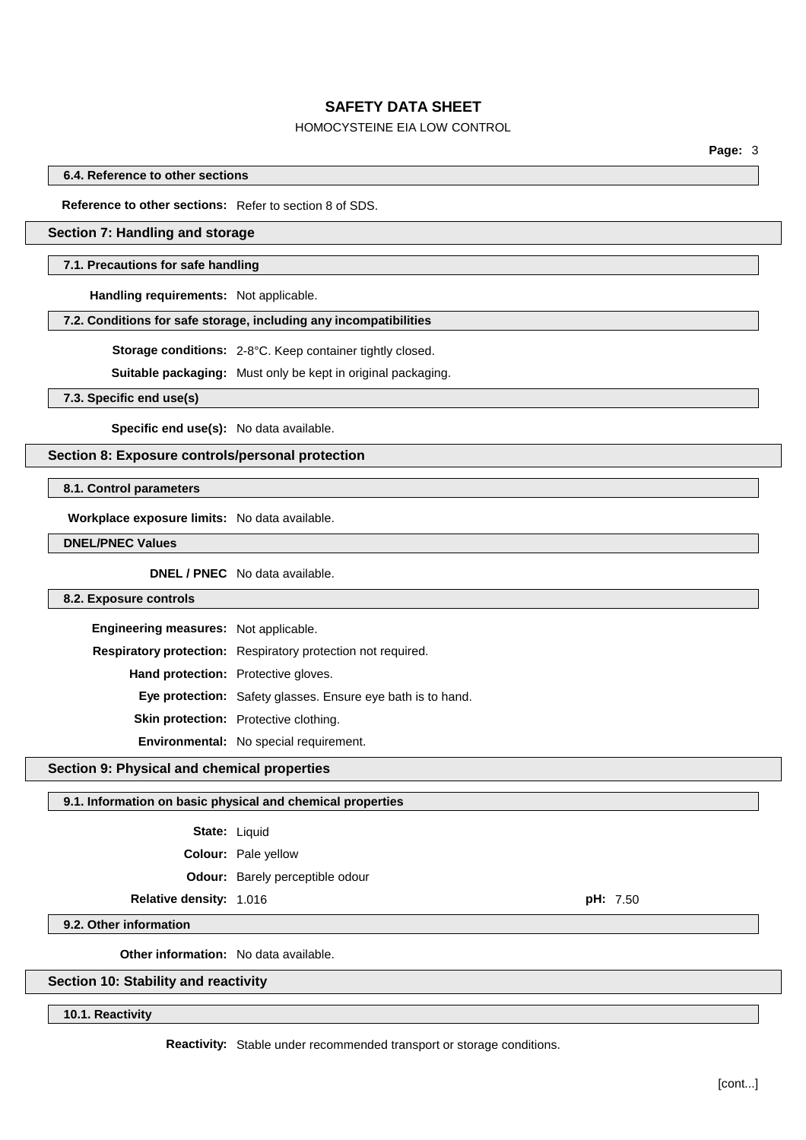# HOMOCYSTEINE EIA LOW CONTROL

**Page:** 3

**6.4. Reference to other sections**

**Reference to other sections:** Refer to section 8 of SDS.

# **Section 7: Handling and storage**

#### **7.1. Precautions for safe handling**

**Handling requirements:** Not applicable.

#### **7.2. Conditions for safe storage, including any incompatibilities**

**Storage conditions:** 2-8°C. Keep container tightly closed.

**Suitable packaging:** Must only be kept in original packaging.

**7.3. Specific end use(s)**

**Specific end use(s):** No data available.

# **Section 8: Exposure controls/personal protection**

**8.1. Control parameters**

**Workplace exposure limits:** No data available.

**DNEL/PNEC Values**

**DNEL / PNEC** No data available.

## **8.2. Exposure controls**

| Engineering measures: Not applicable.      |                                                                    |
|--------------------------------------------|--------------------------------------------------------------------|
|                                            | Respiratory protection: Respiratory protection not required.       |
| <b>Hand protection:</b> Protective gloves. |                                                                    |
|                                            | <b>Eye protection:</b> Safety glasses. Ensure eye bath is to hand. |
|                                            | Skin protection: Protective clothing.                              |
|                                            | Environmental: No special requirement.                             |

#### **Section 9: Physical and chemical properties**

#### **9.1. Information on basic physical and chemical properties**

| State: | Liquid |
|--------|--------|
|--------|--------|

**Colour:** Pale yellow

**Odour:** Barely perceptible odour

# **Relative density:** 1.016 **pH:** 7.50

**9.2. Other information**

**Other information:** No data available.

### **Section 10: Stability and reactivity**

**10.1. Reactivity**

**Reactivity:** Stable under recommended transport or storage conditions.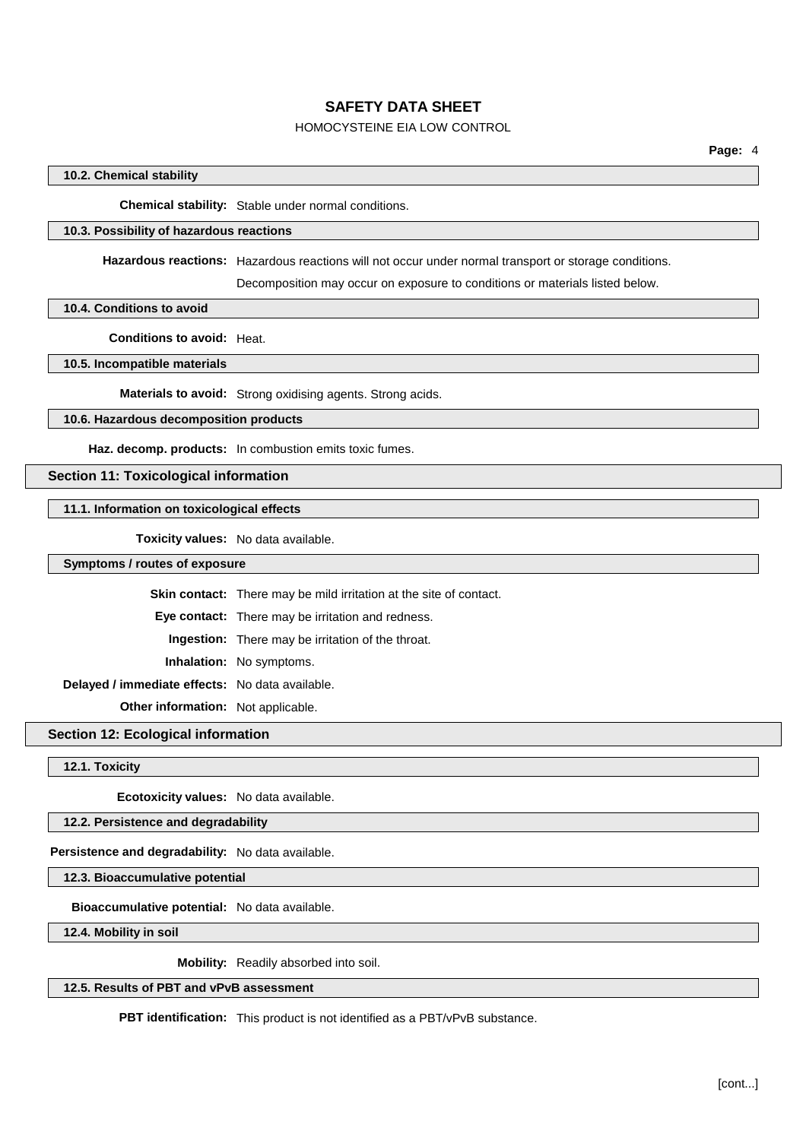# HOMOCYSTEINE EIA LOW CONTROL

## **10.2. Chemical stability**

**Chemical stability:** Stable under normal conditions.

### **10.3. Possibility of hazardous reactions**

**Hazardous reactions:** Hazardous reactions will not occur under normal transport or storage conditions.

Decomposition may occur on exposure to conditions or materials listed below.

**10.4. Conditions to avoid**

**Conditions to avoid:** Heat.

**10.5. Incompatible materials**

**Materials to avoid:** Strong oxidising agents. Strong acids.

# **10.6. Hazardous decomposition products**

**Haz. decomp. products:** In combustion emits toxic fumes.

# **Section 11: Toxicological information**

### **11.1. Information on toxicological effects**

**Toxicity values:** No data available.

**Symptoms / routes of exposure**

**Skin contact:** There may be mild irritation at the site of contact.

**Eye contact:** There may be irritation and redness.

**Ingestion:** There may be irritation of the throat.

**Inhalation:** No symptoms.

**Delayed / immediate effects:** No data available.

**Other information:** Not applicable.

**Section 12: Ecological information**

**12.1. Toxicity**

**Ecotoxicity values:** No data available.

**12.2. Persistence and degradability**

**Persistence and degradability:** No data available.

**12.3. Bioaccumulative potential**

**Bioaccumulative potential:** No data available.

**12.4. Mobility in soil**

**Mobility:** Readily absorbed into soil.

**12.5. Results of PBT and vPvB assessment**

**PBT identification:** This product is not identified as a PBT/vPvB substance.